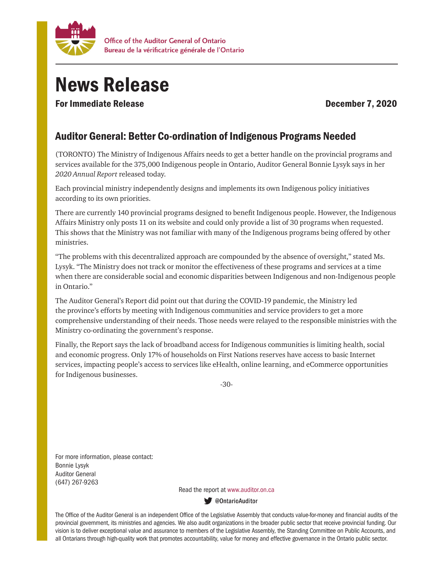

## News Release

For Immediate Release **December 7, 2020** 

## Auditor General: Better Co-ordination of Indigenous Programs Needed

(TORONTO) The Ministry of Indigenous Affairs needs to get a better handle on the provincial programs and services available for the 375,000 Indigenous people in Ontario, Auditor General Bonnie Lysyk says in her *2020 Annual Report* released today.

Each provincial ministry independently designs and implements its own Indigenous policy initiatives according to its own priorities.

There are currently 140 provincial programs designed to benefit Indigenous people. However, the Indigenous Affairs Ministry only posts 11 on its website and could only provide a list of 30 programs when requested. This shows that the Ministry was not familiar with many of the Indigenous programs being offered by other ministries.

"The problems with this decentralized approach are compounded by the absence of oversight," stated Ms. Lysyk. "The Ministry does not track or monitor the effectiveness of these programs and services at a time when there are considerable social and economic disparities between Indigenous and non-Indigenous people in Ontario."

The Auditor General's Report did point out that during the COVID-19 pandemic, the Ministry led the province's efforts by meeting with Indigenous communities and service providers to get a more comprehensive understanding of their needs. Those needs were relayed to the responsible ministries with the Ministry co-ordinating the government's response.

Finally, the Report says the lack of broadband access for Indigenous communities is limiting health, social and economic progress. Only 17% of households on First Nations reserves have access to basic Internet services, impacting people's access to services like eHealth, online learning, and eCommerce opportunities for Indigenous businesses.

-30-

For more information, please contact: Bonnie Lysyk Auditor General (647) 267-9263

Read the report at www.auditor.on.ca

**W** @OntarioAuditor

The Office of the Auditor General is an independent Office of the Legislative Assembly that conducts value-for-money and financial audits of the provincial government, its ministries and agencies. We also audit organizations in the broader public sector that receive provincial funding. Our vision is to deliver exceptional value and assurance to members of the Legislative Assembly, the Standing Committee on Public Accounts, and all Ontarians through high-quality work that promotes accountability, value for money and effective governance in the Ontario public sector.